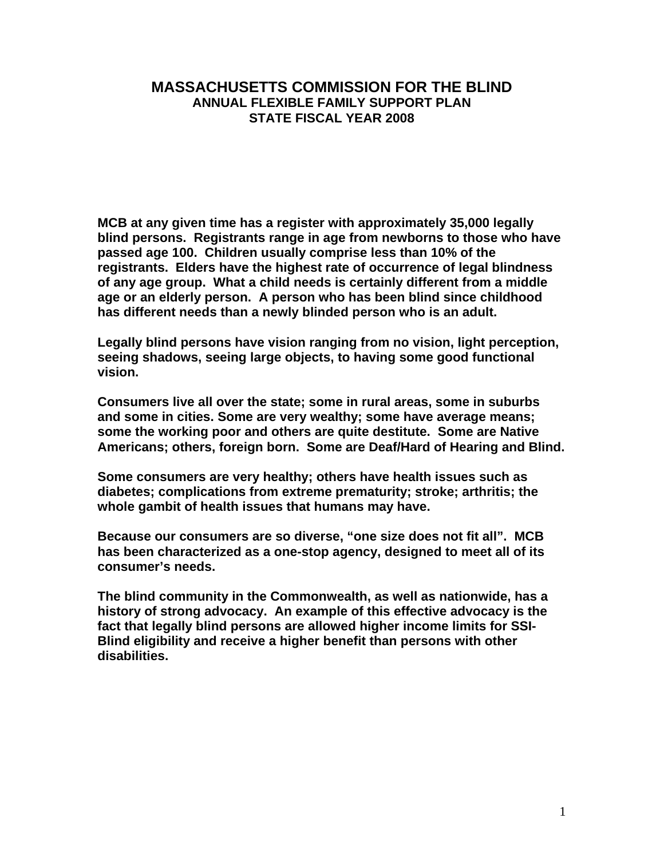## **MASSACHUSETTS COMMISSION FOR THE BLIND ANNUAL FLEXIBLE FAMILY SUPPORT PLAN STATE FISCAL YEAR 2008**

**MCB at any given time has a register with approximately 35,000 legally blind persons. Registrants range in age from newborns to those who have passed age 100. Children usually comprise less than 10% of the registrants. Elders have the highest rate of occurrence of legal blindness of any age group. What a child needs is certainly different from a middle age or an elderly person. A person who has been blind since childhood has different needs than a newly blinded person who is an adult.** 

**Legally blind persons have vision ranging from no vision, light perception, seeing shadows, seeing large objects, to having some good functional vision.** 

**Consumers live all over the state; some in rural areas, some in suburbs and some in cities. Some are very wealthy; some have average means; some the working poor and others are quite destitute. Some are Native Americans; others, foreign born. Some are Deaf/Hard of Hearing and Blind.** 

**Some consumers are very healthy; others have health issues such as diabetes; complications from extreme prematurity; stroke; arthritis; the whole gambit of health issues that humans may have.** 

**Because our consumers are so diverse, "one size does not fit all". MCB has been characterized as a one-stop agency, designed to meet all of its consumer's needs.** 

**The blind community in the Commonwealth, as well as nationwide, has a history of strong advocacy. An example of this effective advocacy is the fact that legally blind persons are allowed higher income limits for SSI-Blind eligibility and receive a higher benefit than persons with other disabilities.**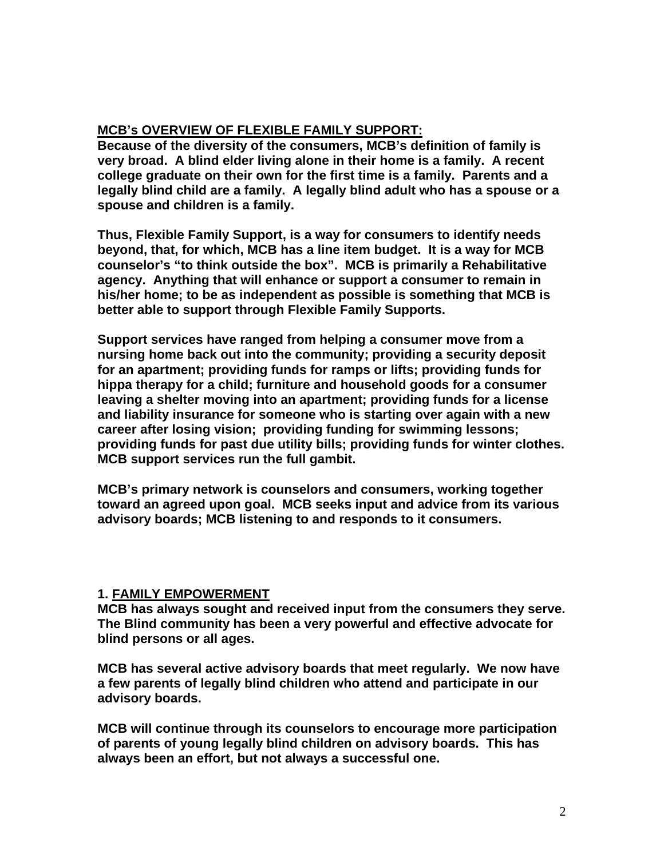## **MCB's OVERVIEW OF FLEXIBLE FAMILY SUPPORT:**

**Because of the diversity of the consumers, MCB's definition of family is very broad. A blind elder living alone in their home is a family. A recent college graduate on their own for the first time is a family. Parents and a legally blind child are a family. A legally blind adult who has a spouse or a spouse and children is a family.** 

**Thus, Flexible Family Support, is a way for consumers to identify needs beyond, that, for which, MCB has a line item budget. It is a way for MCB counselor's "to think outside the box". MCB is primarily a Rehabilitative agency. Anything that will enhance or support a consumer to remain in his/her home; to be as independent as possible is something that MCB is better able to support through Flexible Family Supports.** 

**Support services have ranged from helping a consumer move from a nursing home back out into the community; providing a security deposit for an apartment; providing funds for ramps or lifts; providing funds for hippa therapy for a child; furniture and household goods for a consumer leaving a shelter moving into an apartment; providing funds for a license and liability insurance for someone who is starting over again with a new career after losing vision; providing funding for swimming lessons; providing funds for past due utility bills; providing funds for winter clothes. MCB support services run the full gambit.** 

**MCB's primary network is counselors and consumers, working together toward an agreed upon goal. MCB seeks input and advice from its various advisory boards; MCB listening to and responds to it consumers.** 

#### **1. FAMILY EMPOWERMENT**

**MCB has always sought and received input from the consumers they serve. The Blind community has been a very powerful and effective advocate for blind persons or all ages.** 

**MCB has several active advisory boards that meet regularly. We now have a few parents of legally blind children who attend and participate in our advisory boards.** 

**MCB will continue through its counselors to encourage more participation of parents of young legally blind children on advisory boards. This has always been an effort, but not always a successful one.**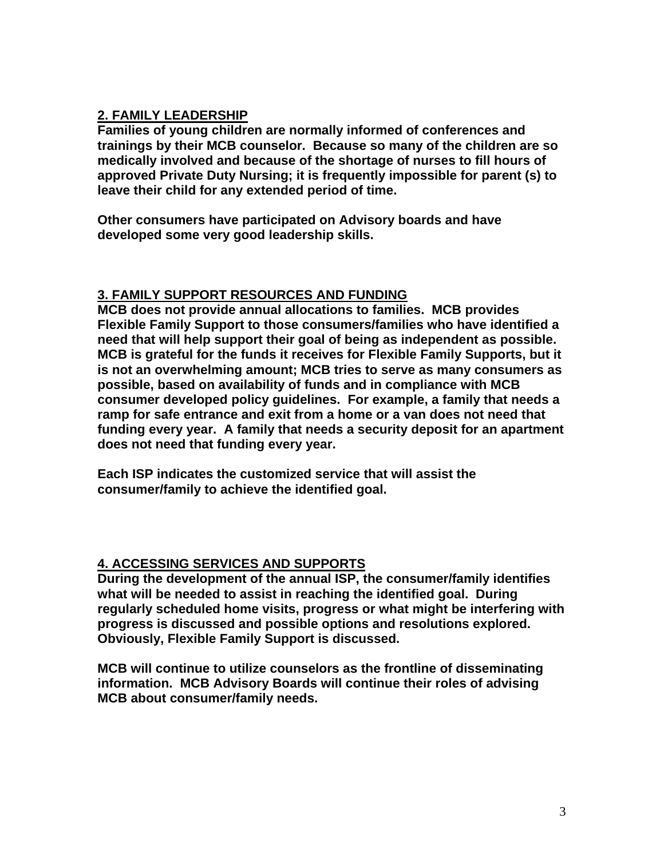# **2. FAMILY LEADERSHIP**

**Families of young children are normally informed of conferences and trainings by their MCB counselor. Because so many of the children are so medically involved and because of the shortage of nurses to fill hours of approved Private Duty Nursing; it is frequently impossible for parent (s) to leave their child for any extended period of time.** 

**Other consumers have participated on Advisory boards and have developed some very good leadership skills.** 

## **3. FAMILY SUPPORT RESOURCES AND FUNDING**

**MCB does not provide annual allocations to families. MCB provides Flexible Family Support to those consumers/families who have identified a need that will help support their goal of being as independent as possible. MCB is grateful for the funds it receives for Flexible Family Supports, but it is not an overwhelming amount; MCB tries to serve as many consumers as possible, based on availability of funds and in compliance with MCB consumer developed policy guidelines. For example, a family that needs a ramp for safe entrance and exit from a home or a van does not need that funding every year. A family that needs a security deposit for an apartment does not need that funding every year.** 

**Each ISP indicates the customized service that will assist the consumer/family to achieve the identified goal.** 

#### **4. ACCESSING SERVICES AND SUPPORTS**

**During the development of the annual ISP, the consumer/family identifies what will be needed to assist in reaching the identified goal. During regularly scheduled home visits, progress or what might be interfering with progress is discussed and possible options and resolutions explored. Obviously, Flexible Family Support is discussed.** 

**MCB will continue to utilize counselors as the frontline of disseminating information. MCB Advisory Boards will continue their roles of advising MCB about consumer/family needs.**